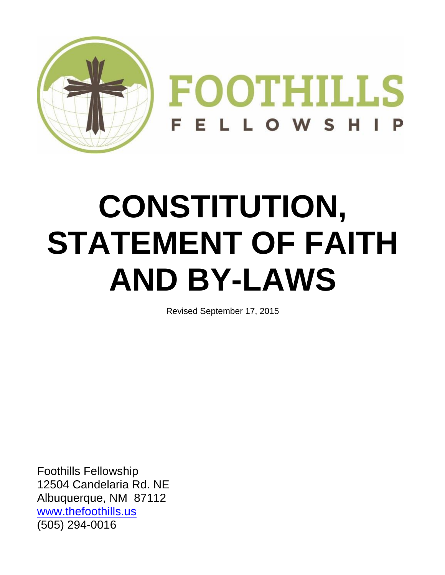

# **CONSTITUTION, STATEMENT OF FAITH AND BY-LAWS**

Revised September 17, 2015

Foothills Fellowship 12504 Candelaria Rd. NE Albuquerque, NM 87112 [www.thefoothills.us](http://www.thefoothills.us/) (505) 294-0016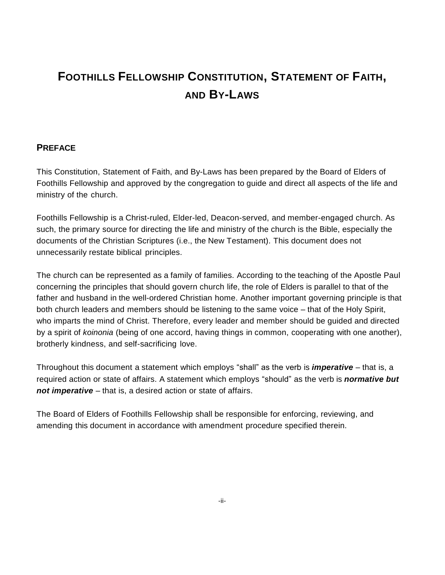## **FOOTHILLS FELLOWSHIP CONSTITUTION, STATEMENT OF FAITH, AND BY-LAWS**

## **PREFACE**

This Constitution, Statement of Faith, and By-Laws has been prepared by the Board of Elders of Foothills Fellowship and approved by the congregation to guide and direct all aspects of the life and ministry of the church.

Foothills Fellowship is a Christ-ruled, Elder-led, Deacon-served, and member-engaged church. As such, the primary source for directing the life and ministry of the church is the Bible, especially the documents of the Christian Scriptures (i.e., the New Testament). This document does not unnecessarily restate biblical principles.

The church can be represented as a family of families. According to the teaching of the Apostle Paul concerning the principles that should govern church life, the role of Elders is parallel to that of the father and husband in the well-ordered Christian home. Another important governing principle is that both church leaders and members should be listening to the same voice – that of the Holy Spirit, who imparts the mind of Christ. Therefore, every leader and member should be guided and directed by a spirit of *koinonia* (being of one accord, having things in common, cooperating with one another), brotherly kindness, and self-sacrificing love.

Throughout this document a statement which employs "shall" as the verb is *imperative* – that is, a required action or state of affairs. A statement which employs "should" as the verb is *normative but not imperative* – that is, a desired action or state of affairs.

The Board of Elders of Foothills Fellowship shall be responsible for enforcing, reviewing, and amending this document in accordance with amendment procedure specified therein.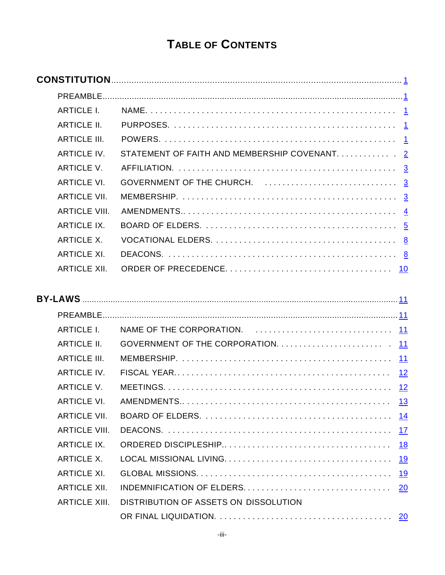# **TABLE OF CONTENTS**

| <b>ARTICLE I.</b>    |                                                          |
|----------------------|----------------------------------------------------------|
|                      |                                                          |
|                      |                                                          |
|                      | ARTICLE IV. STATEMENT OF FAITH AND MEMBERSHIP COVENANT 2 |
|                      |                                                          |
| <b>ARTICLE VI.</b>   |                                                          |
| <b>ARTICLE VII.</b>  |                                                          |
| <b>ARTICLE VIII.</b> |                                                          |
| <b>ARTICLE IX.</b>   |                                                          |
| ARTICLE X.           |                                                          |
| <b>ARTICLE XI.</b>   |                                                          |
|                      |                                                          |
|                      |                                                          |
|                      |                                                          |
|                      |                                                          |
|                      |                                                          |
|                      |                                                          |
| <b>ARTICLE III.</b>  |                                                          |
|                      |                                                          |
|                      |                                                          |
|                      |                                                          |
| <b>ARTICLE VII.</b>  |                                                          |
| <b>ARTICLE VIII.</b> |                                                          |
| <b>ARTICLE IX.</b>   |                                                          |
| <b>ARTICLE X.</b>    |                                                          |
| <b>ARTICLE XI.</b>   |                                                          |
| <b>ARTICLE XII.</b>  | <b>20</b>                                                |
| <b>ARTICLE XIII.</b> | DISTRIBUTION OF ASSETS ON DISSOLUTION                    |
|                      |                                                          |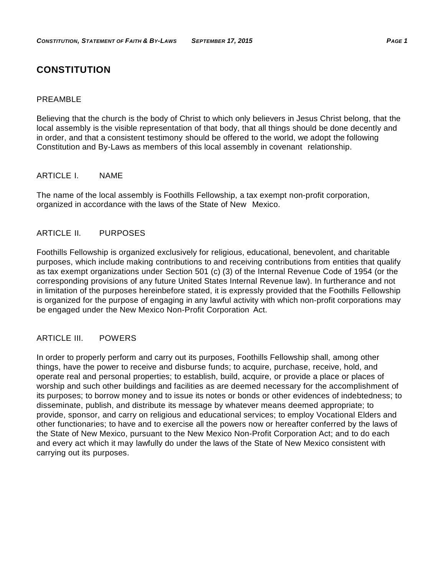## <span id="page-4-0"></span>**CONSTITUTION**

#### <span id="page-4-1"></span>PREAMBLE

Believing that the church is the body of Christ to which only believers in Jesus Christ belong, that the local assembly is the visible representation of that body, that all things should be done decently and in order, and that a consistent testimony should be offered to the world, we adopt the following Constitution and By-Laws as members of this local assembly in covenant relationship.

## <span id="page-4-2"></span>ARTICLE I. NAME

The name of the local assembly is Foothills Fellowship, a tax exempt non-profit corporation, organized in accordance with the laws of the State of New Mexico.

## <span id="page-4-3"></span>ARTICLE II. PURPOSES

Foothills Fellowship is organized exclusively for religious, educational, benevolent, and charitable purposes, which include making contributions to and receiving contributions from entities that qualify as tax exempt organizations under Section 501 (c) (3) of the Internal Revenue Code of 1954 (or the corresponding provisions of any future United States Internal Revenue law). In furtherance and not in limitation of the purposes hereinbefore stated, it is expressly provided that the Foothills Fellowship is organized for the purpose of engaging in any lawful activity with which non-profit corporations may be engaged under the New Mexico Non-Profit Corporation Act.

#### <span id="page-4-4"></span>ARTICLE III. POWERS

In order to properly perform and carry out its purposes, Foothills Fellowship shall, among other things, have the power to receive and disburse funds; to acquire, purchase, receive, hold, and operate real and personal properties; to establish, build, acquire, or provide a place or places of worship and such other buildings and facilities as are deemed necessary for the accomplishment of its purposes; to borrow money and to issue its notes or bonds or other evidences of indebtedness; to disseminate, publish, and distribute its message by whatever means deemed appropriate; to provide, sponsor, and carry on religious and educational services; to employ Vocational Elders and other functionaries; to have and to exercise all the powers now or hereafter conferred by the laws of the State of New Mexico, pursuant to the New Mexico Non-Profit Corporation Act; and to do each and every act which it may lawfully do under the laws of the State of New Mexico consistent with carrying out its purposes.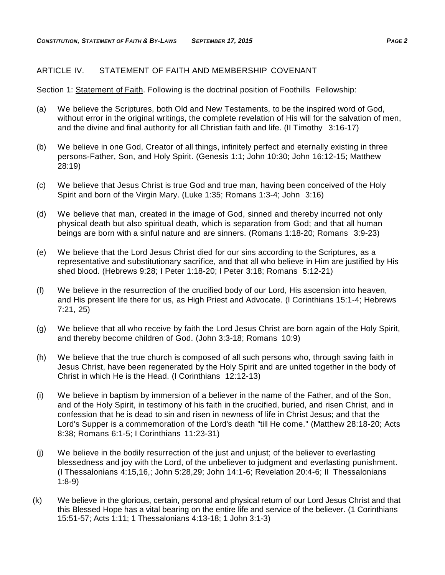## <span id="page-5-0"></span>ARTICLE IV. STATEMENT OF FAITH AND MEMBERSHIP COVENANT

Section 1: Statement of Faith. Following is the doctrinal position of Foothills Fellowship:

- (a) We believe the Scriptures, both Old and New Testaments, to be the inspired word of God, without error in the original writings, the complete revelation of His will for the salvation of men, and the divine and final authority for all Christian faith and life. (II Timothy 3:16-17)
- (b) We believe in one God, Creator of all things, infinitely perfect and eternally existing in three persons-Father, Son, and Holy Spirit. (Genesis 1:1; John 10:30; John 16:12-15; Matthew 28:19)
- (c) We believe that Jesus Christ is true God and true man, having been conceived of the Holy Spirit and born of the Virgin Mary. (Luke 1:35; Romans 1:3-4; John 3:16)
- (d) We believe that man, created in the image of God, sinned and thereby incurred not only physical death but also spiritual death, which is separation from God; and that all human beings are born with a sinful nature and are sinners. (Romans 1:18-20; Romans 3:9-23)
- (e) We believe that the Lord Jesus Christ died for our sins according to the Scriptures, as a representative and substitutionary sacrifice, and that all who believe in Him are justified by His shed blood. (Hebrews 9:28; I Peter 1:18-20; I Peter 3:18; Romans 5:12-21)
- (f) We believe in the resurrection of the crucified body of our Lord, His ascension into heaven, and His present life there for us, as High Priest and Advocate. (I Corinthians 15:1-4; Hebrews 7:21, 25)
- (g) We believe that all who receive by faith the Lord Jesus Christ are born again of the Holy Spirit, and thereby become children of God. (John 3:3-18; Romans 10:9)
- (h) We believe that the true church is composed of all such persons who, through saving faith in Jesus Christ, have been regenerated by the Holy Spirit and are united together in the body of Christ in which He is the Head. (I Corinthians 12:12-13)
- (i) We believe in baptism by immersion of a believer in the name of the Father, and of the Son, and of the Holy Spirit, in testimony of his faith in the crucified, buried, and risen Christ, and in confession that he is dead to sin and risen in newness of life in Christ Jesus; and that the Lord's Supper is a commemoration of the Lord's death "till He come." (Matthew 28:18-20; Acts 8:38; Romans 6:1-5; I Corinthians 11:23-31)
- (j) We believe in the bodily resurrection of the just and unjust; of the believer to everlasting blessedness and joy with the Lord, of the unbeliever to judgment and everlasting punishment. (I Thessalonians 4:15,16,; John 5:28,29; John 14:1-6; Revelation 20:4-6; II Thessalonians 1:8-9)
- (k) We believe in the glorious, certain, personal and physical return of our Lord Jesus Christ and that this Blessed Hope has a vital bearing on the entire life and service of the believer. (1 Corinthians 15:51-57; Acts 1:11; 1 Thessalonians 4:13-18; 1 John 3:1-3)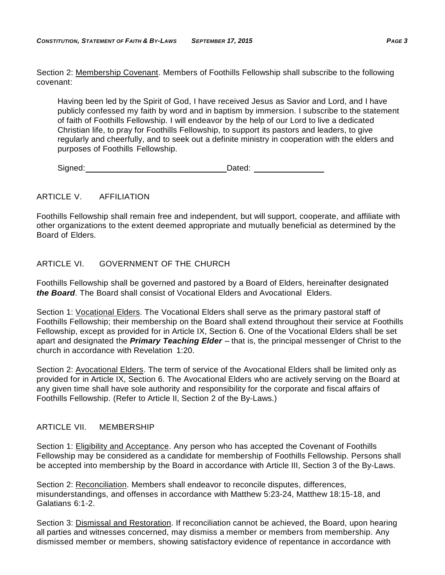Section 2: Membership Covenant. Members of Foothills Fellowship shall subscribe to the following covenant:

Having been led by the Spirit of God, I have received Jesus as Savior and Lord, and I have publicly confessed my faith by word and in baptism by immersion. I subscribe to the statement of faith of Foothills Fellowship. I will endeavor by the help of our Lord to live a dedicated Christian life, to pray for Foothills Fellowship, to support its pastors and leaders, to give regularly and cheerfully, and to seek out a definite ministry in cooperation with the elders and purposes of Foothills Fellowship.

Signed: Dated: Dated:

## <span id="page-6-0"></span>ARTICLE V. AFFILIATION

Foothills Fellowship shall remain free and independent, but will support, cooperate, and affiliate with other organizations to the extent deemed appropriate and mutually beneficial as determined by the Board of Elders.

## <span id="page-6-1"></span>ARTICLE VI. GOVERNMENT OF THE CHURCH

Foothills Fellowship shall be governed and pastored by a Board of Elders, hereinafter designated *the Board*. The Board shall consist of Vocational Elders and Avocational Elders.

Section 1: Vocational Elders. The Vocational Elders shall serve as the primary pastoral staff of Foothills Fellowship; their membership on the Board shall extend throughout their service at Foothills Fellowship, except as provided for in Article IX, Section 6. One of the Vocational Elders shall be set apart and designated the *Primary Teaching Elder* – that is, the principal messenger of Christ to the church in accordance with Revelation 1:20.

Section 2: Avocational Elders. The term of service of the Avocational Elders shall be limited only as provided for in Article IX, Section 6. The Avocational Elders who are actively serving on the Board at any given time shall have sole authority and responsibility for the corporate and fiscal affairs of Foothills Fellowship. (Refer to Article II, Section 2 of the By-Laws.)

## <span id="page-6-2"></span>ARTICLE VII. MEMBERSHIP

Section 1: Eligibility and Acceptance. Any person who has accepted the Covenant of Foothills Fellowship may be considered as a candidate for membership of Foothills Fellowship. Persons shall be accepted into membership by the Board in accordance with Article III, Section 3 of the By-Laws.

Section 2: Reconciliation. Members shall endeavor to reconcile disputes, differences, misunderstandings, and offenses in accordance with Matthew 5:23-24, Matthew 18:15-18, and Galatians 6:1-2.

Section 3: Dismissal and Restoration. If reconciliation cannot be achieved, the Board, upon hearing all parties and witnesses concerned, may dismiss a member or members from membership. Any dismissed member or members, showing satisfactory evidence of repentance in accordance with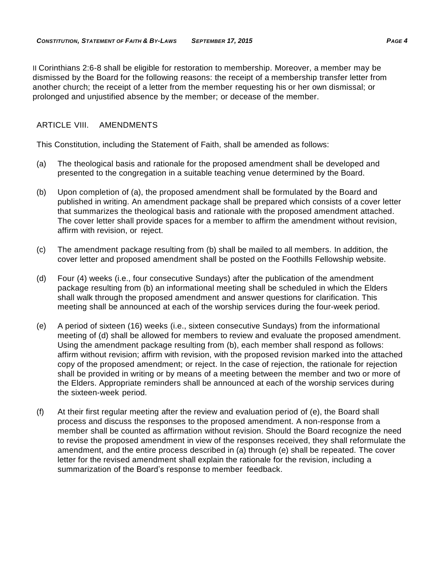II Corinthians 2:6-8 shall be eligible for restoration to membership. Moreover, a member may be dismissed by the Board for the following reasons: the receipt of a membership transfer letter from another church; the receipt of a letter from the member requesting his or her own dismissal; or prolonged and unjustified absence by the member; or decease of the member.

## <span id="page-7-0"></span>ARTICLE VIII. AMENDMENTS

This Constitution, including the Statement of Faith, shall be amended as follows:

- (a) The theological basis and rationale for the proposed amendment shall be developed and presented to the congregation in a suitable teaching venue determined by the Board.
- (b) Upon completion of (a), the proposed amendment shall be formulated by the Board and published in writing. An amendment package shall be prepared which consists of a cover letter that summarizes the theological basis and rationale with the proposed amendment attached. The cover letter shall provide spaces for a member to affirm the amendment without revision, affirm with revision, or reject.
- (c) The amendment package resulting from (b) shall be mailed to all members. In addition, the cover letter and proposed amendment shall be posted on the Foothills Fellowship website.
- (d) Four (4) weeks (i.e., four consecutive Sundays) after the publication of the amendment package resulting from (b) an informational meeting shall be scheduled in which the Elders shall walk through the proposed amendment and answer questions for clarification. This meeting shall be announced at each of the worship services during the four-week period.
- (e) A period of sixteen (16) weeks (i.e., sixteen consecutive Sundays) from the informational meeting of (d) shall be allowed for members to review and evaluate the proposed amendment. Using the amendment package resulting from (b), each member shall respond as follows: affirm without revision; affirm with revision, with the proposed revision marked into the attached copy of the proposed amendment; or reject. In the case of rejection, the rationale for rejection shall be provided in writing or by means of a meeting between the member and two or more of the Elders. Appropriate reminders shall be announced at each of the worship services during the sixteen-week period.
- (f) At their first regular meeting after the review and evaluation period of (e), the Board shall process and discuss the responses to the proposed amendment. A non-response from a member shall be counted as affirmation without revision. Should the Board recognize the need to revise the proposed amendment in view of the responses received, they shall reformulate the amendment, and the entire process described in (a) through (e) shall be repeated. The cover letter for the revised amendment shall explain the rationale for the revision, including a summarization of the Board's response to member feedback.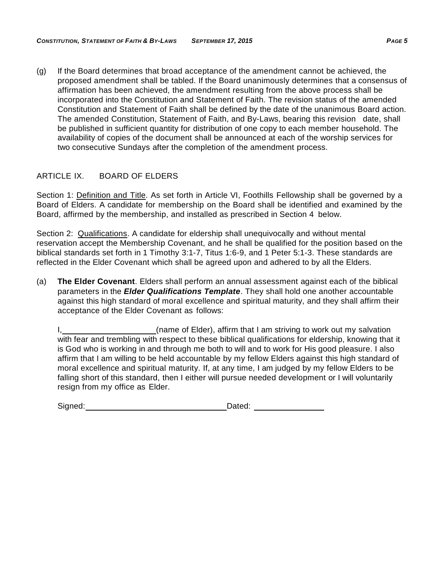(g) If the Board determines that broad acceptance of the amendment cannot be achieved, the proposed amendment shall be tabled. If the Board unanimously determines that a consensus of affirmation has been achieved, the amendment resulting from the above process shall be incorporated into the Constitution and Statement of Faith. The revision status of the amended Constitution and Statement of Faith shall be defined by the date of the unanimous Board action. The amended Constitution, Statement of Faith, and By-Laws, bearing this revision date, shall be published in sufficient quantity for distribution of one copy to each member household. The availability of copies of the document shall be announced at each of the worship services for two consecutive Sundays after the completion of the amendment process.

## <span id="page-8-0"></span>ARTICLE IX. BOARD OF ELDERS

Section 1: Definition and Title. As set forth in Article VI, Foothills Fellowship shall be governed by a Board of Elders. A candidate for membership on the Board shall be identified and examined by the Board, affirmed by the membership, and installed as prescribed in Section 4 below.

Section 2: Qualifications. A candidate for eldership shall unequivocally and without mental reservation accept the Membership Covenant, and he shall be qualified for the position based on the biblical standards set forth in 1 Timothy 3:1-7, Titus 1:6-9, and 1 Peter 5:1-3. These standards are reflected in the Elder Covenant which shall be agreed upon and adhered to by all the Elders.

(a) **The Elder Covenant**. Elders shall perform an annual assessment against each of the biblical parameters in the *Elder Qualifications Template*. They shall hold one another accountable against this high standard of moral excellence and spiritual maturity, and they shall affirm their acceptance of the Elder Covenant as follows:

I, (name of Elder), affirm that I am striving to work out my salvation with fear and trembling with respect to these biblical qualifications for eldership, knowing that it is God who is working in and through me both to will and to work for His good pleasure. I also affirm that I am willing to be held accountable by my fellow Elders against this high standard of moral excellence and spiritual maturity. If, at any time, I am judged by my fellow Elders to be falling short of this standard, then I either will pursue needed development or I will voluntarily resign from my office as Elder.

| Signed: | Dated: |
|---------|--------|
|         |        |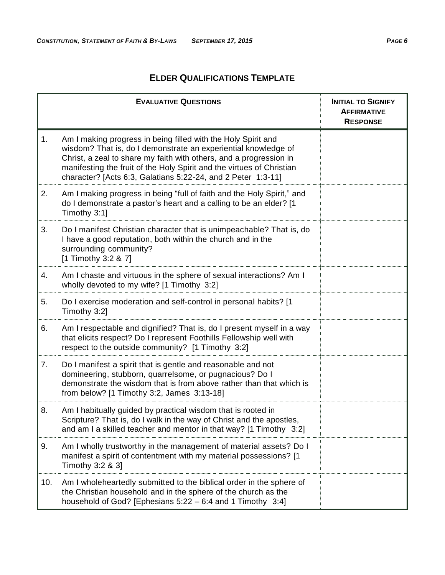## **ELDER QUALIFICATIONS TEMPLATE**

|     | <b>EVALUATIVE QUESTIONS</b>                                                                                                                                                                                                                                                                                                                    | <b>INITIAL TO SIGNIFY</b><br><b>AFFIRMATIVE</b><br><b>RESPONSE</b> |
|-----|------------------------------------------------------------------------------------------------------------------------------------------------------------------------------------------------------------------------------------------------------------------------------------------------------------------------------------------------|--------------------------------------------------------------------|
| 1.  | Am I making progress in being filled with the Holy Spirit and<br>wisdom? That is, do I demonstrate an experiential knowledge of<br>Christ, a zeal to share my faith with others, and a progression in<br>manifesting the fruit of the Holy Spirit and the virtues of Christian<br>character? [Acts 6:3, Galatians 5:22-24, and 2 Peter 1:3-11] |                                                                    |
| 2.  | Am I making progress in being "full of faith and the Holy Spirit," and<br>do I demonstrate a pastor's heart and a calling to be an elder? [1<br>Timothy 3:1]                                                                                                                                                                                   |                                                                    |
| 3.  | Do I manifest Christian character that is unimpeachable? That is, do<br>I have a good reputation, both within the church and in the<br>surrounding community?<br>[1 Timothy 3:2 & 7]                                                                                                                                                           |                                                                    |
| 4.  | Am I chaste and virtuous in the sphere of sexual interactions? Am I<br>wholly devoted to my wife? [1 Timothy 3:2]                                                                                                                                                                                                                              |                                                                    |
| 5.  | Do I exercise moderation and self-control in personal habits? [1<br>Timothy 3:2]                                                                                                                                                                                                                                                               |                                                                    |
| 6.  | Am I respectable and dignified? That is, do I present myself in a way<br>that elicits respect? Do I represent Foothills Fellowship well with<br>respect to the outside community? [1 Timothy 3:2]                                                                                                                                              |                                                                    |
| 7.  | Do I manifest a spirit that is gentle and reasonable and not<br>domineering, stubborn, quarrelsome, or pugnacious? Do I<br>demonstrate the wisdom that is from above rather than that which is<br>from below? [1 Timothy 3:2, James 3:13-18]                                                                                                   |                                                                    |
| 8.  | Am I habitually guided by practical wisdom that is rooted in<br>Scripture? That is, do I walk in the way of Christ and the apostles,<br>and am I a skilled teacher and mentor in that way? $[1$ Timothy 3:2]                                                                                                                                   |                                                                    |
| 9.  | Am I wholly trustworthy in the management of material assets? Do I<br>manifest a spirit of contentment with my material possessions? [1<br>Timothy 3:2 & 3]                                                                                                                                                                                    |                                                                    |
| 10. | Am I wholeheartedly submitted to the biblical order in the sphere of<br>the Christian household and in the sphere of the church as the<br>household of God? [Ephesians 5:22 - 6:4 and 1 Timothy 3:4]                                                                                                                                           |                                                                    |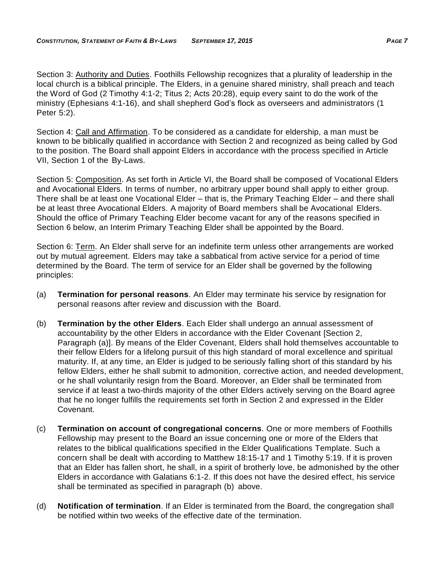Section 3: Authority and Duties. Foothills Fellowship recognizes that a plurality of leadership in the local church is a biblical principle. The Elders, in a genuine shared ministry, shall preach and teach the Word of God (2 Timothy 4:1-2; Titus 2; Acts 20:28), equip every saint to do the work of the ministry (Ephesians 4:1-16), and shall shepherd God's flock as overseers and administrators (1 Peter 5:2).

Section 4: Call and Affirmation. To be considered as a candidate for eldership, a man must be known to be biblically qualified in accordance with Section 2 and recognized as being called by God to the position. The Board shall appoint Elders in accordance with the process specified in Article VII, Section 1 of the By-Laws.

Section 5: Composition. As set forth in Article VI, the Board shall be composed of Vocational Elders and Avocational Elders. In terms of number, no arbitrary upper bound shall apply to either group. There shall be at least one Vocational Elder – that is, the Primary Teaching Elder – and there shall be at least three Avocational Elders. A majority of Board members shall be Avocational Elders. Should the office of Primary Teaching Elder become vacant for any of the reasons specified in Section 6 below, an Interim Primary Teaching Elder shall be appointed by the Board.

Section 6: Term. An Elder shall serve for an indefinite term unless other arrangements are worked out by mutual agreement. Elders may take a sabbatical from active service for a period of time determined by the Board. The term of service for an Elder shall be governed by the following principles:

- (a) **Termination for personal reasons**. An Elder may terminate his service by resignation for personal reasons after review and discussion with the Board.
- (b) **Termination by the other Elders**. Each Elder shall undergo an annual assessment of accountability by the other Elders in accordance with the Elder Covenant [Section 2, Paragraph (a)]. By means of the Elder Covenant, Elders shall hold themselves accountable to their fellow Elders for a lifelong pursuit of this high standard of moral excellence and spiritual maturity. If, at any time, an Elder is judged to be seriously falling short of this standard by his fellow Elders, either he shall submit to admonition, corrective action, and needed development, or he shall voluntarily resign from the Board. Moreover, an Elder shall be terminated from service if at least a two-thirds majority of the other Elders actively serving on the Board agree that he no longer fulfills the requirements set forth in Section 2 and expressed in the Elder Covenant.
- (c) **Termination on account of congregational concerns**. One or more members of Foothills Fellowship may present to the Board an issue concerning one or more of the Elders that relates to the biblical qualifications specified in the Elder Qualifications Template. Such a concern shall be dealt with according to Matthew 18:15-17 and 1 Timothy 5:19. If it is proven that an Elder has fallen short, he shall, in a spirit of brotherly love, be admonished by the other Elders in accordance with Galatians 6:1-2. If this does not have the desired effect, his service shall be terminated as specified in paragraph (b) above.
- (d) **Notification of termination**. If an Elder is terminated from the Board, the congregation shall be notified within two weeks of the effective date of the termination.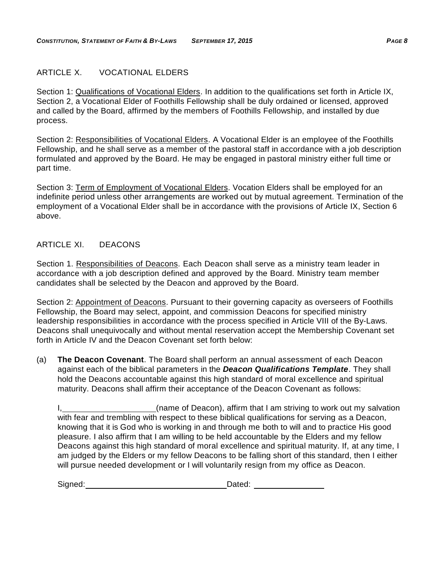## <span id="page-11-0"></span>ARTICLE X. VOCATIONAL ELDERS

Section 1: Qualifications of Vocational Elders. In addition to the qualifications set forth in Article IX, Section 2, a Vocational Elder of Foothills Fellowship shall be duly ordained or licensed, approved and called by the Board, affirmed by the members of Foothills Fellowship, and installed by due process.

Section 2: Responsibilities of Vocational Elders. A Vocational Elder is an employee of the Foothills Fellowship, and he shall serve as a member of the pastoral staff in accordance with a job description formulated and approved by the Board. He may be engaged in pastoral ministry either full time or part time.

Section 3: Term of Employment of Vocational Elders. Vocation Elders shall be employed for an indefinite period unless other arrangements are worked out by mutual agreement. Termination of the employment of a Vocational Elder shall be in accordance with the provisions of Article IX, Section 6 above.

## <span id="page-11-1"></span>ARTICLE XI. DEACONS

Section 1. Responsibilities of Deacons. Each Deacon shall serve as a ministry team leader in accordance with a job description defined and approved by the Board. Ministry team member candidates shall be selected by the Deacon and approved by the Board.

Section 2: Appointment of Deacons. Pursuant to their governing capacity as overseers of Foothills Fellowship, the Board may select, appoint, and commission Deacons for specified ministry leadership responsibilities in accordance with the process specified in Article VIII of the By-Laws. Deacons shall unequivocally and without mental reservation accept the Membership Covenant set forth in Article IV and the Deacon Covenant set forth below:

(a) **The Deacon Covenant**. The Board shall perform an annual assessment of each Deacon against each of the biblical parameters in the *Deacon Qualifications Template*. They shall hold the Deacons accountable against this high standard of moral excellence and spiritual maturity. Deacons shall affirm their acceptance of the Deacon Covenant as follows:

| (name of Deacon), affirm that I am striving to work out my salvation                              |
|---------------------------------------------------------------------------------------------------|
| with fear and trembling with respect to these biblical qualifications for serving as a Deacon,    |
| knowing that it is God who is working in and through me both to will and to practice His good     |
| pleasure. I also affirm that I am willing to be held accountable by the Elders and my fellow      |
| Deacons against this high standard of moral excellence and spiritual maturity. If, at any time, I |
| am judged by the Elders or my fellow Deacons to be falling short of this standard, then I either  |
| will pursue needed development or I will voluntarily resign from my office as Deacon.             |

| Signed: | Dated: |
|---------|--------|
|         |        |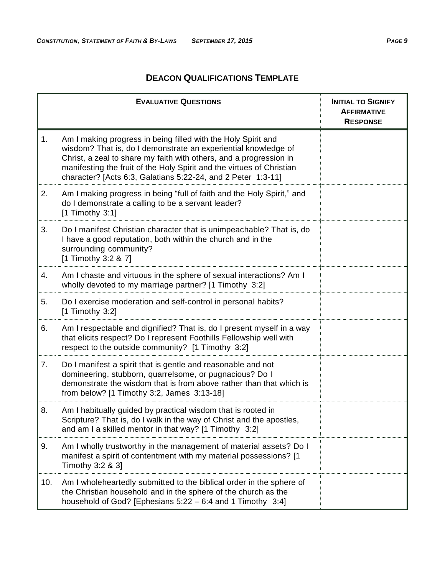## **DEACON QUALIFICATIONS TEMPLATE**

|     | <b>EVALUATIVE QUESTIONS</b>                                                                                                                                                                                                                                                                                                                    | <b>INITIAL TO SIGNIFY</b><br><b>AFFIRMATIVE</b><br><b>RESPONSE</b> |
|-----|------------------------------------------------------------------------------------------------------------------------------------------------------------------------------------------------------------------------------------------------------------------------------------------------------------------------------------------------|--------------------------------------------------------------------|
| 1.  | Am I making progress in being filled with the Holy Spirit and<br>wisdom? That is, do I demonstrate an experiential knowledge of<br>Christ, a zeal to share my faith with others, and a progression in<br>manifesting the fruit of the Holy Spirit and the virtues of Christian<br>character? [Acts 6:3, Galatians 5:22-24, and 2 Peter 1:3-11] |                                                                    |
| 2.  | Am I making progress in being "full of faith and the Holy Spirit," and<br>do I demonstrate a calling to be a servant leader?<br>$[1$ Timothy 3:1]                                                                                                                                                                                              |                                                                    |
| 3.  | Do I manifest Christian character that is unimpeachable? That is, do<br>I have a good reputation, both within the church and in the<br>surrounding community?<br>[1 Timothy 3:2 & 7]                                                                                                                                                           |                                                                    |
| 4.  | Am I chaste and virtuous in the sphere of sexual interactions? Am I<br>wholly devoted to my marriage partner? [1 Timothy 3:2]                                                                                                                                                                                                                  |                                                                    |
| 5.  | Do I exercise moderation and self-control in personal habits?<br>$[1$ Timothy 3:2]                                                                                                                                                                                                                                                             |                                                                    |
| 6.  | Am I respectable and dignified? That is, do I present myself in a way<br>that elicits respect? Do I represent Foothills Fellowship well with<br>respect to the outside community? [1 Timothy 3:2]                                                                                                                                              |                                                                    |
| 7.  | Do I manifest a spirit that is gentle and reasonable and not<br>domineering, stubborn, quarrelsome, or pugnacious? Do I<br>demonstrate the wisdom that is from above rather than that which is<br>from below? [1 Timothy 3:2, James 3:13-18]                                                                                                   |                                                                    |
| 8.  | Am I habitually guided by practical wisdom that is rooted in<br>Scripture? That is, do I walk in the way of Christ and the apostles,<br>and am I a skilled mentor in that way? $[1$ Timothy 3:2]                                                                                                                                               |                                                                    |
| 9.  | Am I wholly trustworthy in the management of material assets? Do I<br>manifest a spirit of contentment with my material possessions? [1<br>Timothy 3:2 & 3]                                                                                                                                                                                    |                                                                    |
| 10. | Am I wholeheartedly submitted to the biblical order in the sphere of<br>the Christian household and in the sphere of the church as the<br>household of God? [Ephesians $5:22 - 6:4$ and 1 Timothy 3:4]                                                                                                                                         |                                                                    |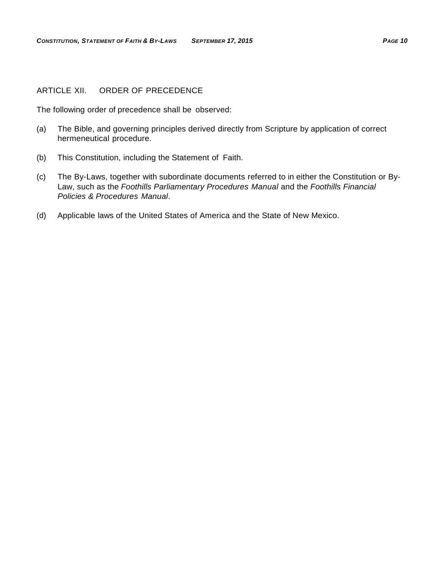#### <span id="page-13-0"></span>ARTICLE XII. ORDER OF PRECEDENCE

The following order of precedence shall be observed:

- (a) The Bible, and governing principles derived directly from Scripture by application of correct hermeneutical procedure.
- (b) This Constitution, including the Statement of Faith.
- (c) The By-Laws, together with subordinate documents referred to in either the Constitution or By-Law, such as the *Foothills Parliamentary Procedures Manual* and the *Foothills Financial Policies & Procedures Manual*.
- (d) Applicable laws of the United States of America and the State of New Mexico.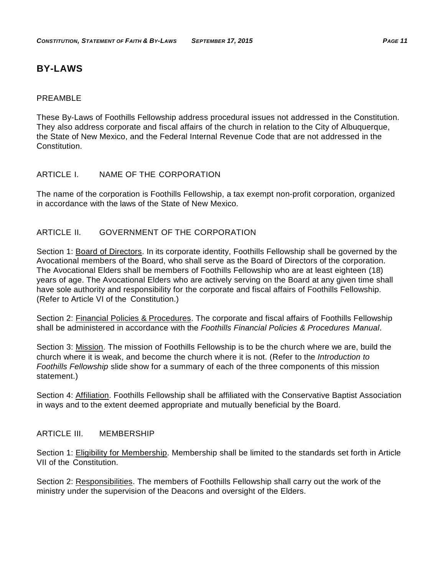## <span id="page-14-0"></span>**BY-LAWS**

#### <span id="page-14-1"></span>PRFAMBL<sub>F</sub>

These By-Laws of Foothills Fellowship address procedural issues not addressed in the Constitution. They also address corporate and fiscal affairs of the church in relation to the City of Albuquerque, the State of New Mexico, and the Federal Internal Revenue Code that are not addressed in the Constitution.

## <span id="page-14-2"></span>ARTICLE I. NAME OF THE CORPORATION

The name of the corporation is Foothills Fellowship, a tax exempt non-profit corporation, organized in accordance with the laws of the State of New Mexico.

## <span id="page-14-3"></span>ARTICLE II. GOVERNMENT OF THE CORPORATION

Section 1: Board of Directors. In its corporate identity, Foothills Fellowship shall be governed by the Avocational members of the Board, who shall serve as the Board of Directors of the corporation. The Avocational Elders shall be members of Foothills Fellowship who are at least eighteen (18) years of age. The Avocational Elders who are actively serving on the Board at any given time shall have sole authority and responsibility for the corporate and fiscal affairs of Foothills Fellowship. (Refer to Article VI of the Constitution.)

Section 2: **Financial Policies & Procedures**. The corporate and fiscal affairs of Foothills Fellowship shall be administered in accordance with the *Foothills Financial Policies & Procedures Manual*.

Section 3: Mission. The mission of Foothills Fellowship is to be the church where we are, build the church where it is weak, and become the church where it is not. (Refer to the *Introduction to Foothills Fellowship* slide show for a summary of each of the three components of this mission statement.)

Section 4: Affiliation. Foothills Fellowship shall be affiliated with the Conservative Baptist Association in ways and to the extent deemed appropriate and mutually beneficial by the Board.

#### <span id="page-14-4"></span>ARTICLE III. MEMBERSHIP

Section 1: Eligibility for Membership. Membership shall be limited to the standards set forth in Article VII of the Constitution.

Section 2: Responsibilities. The members of Foothills Fellowship shall carry out the work of the ministry under the supervision of the Deacons and oversight of the Elders.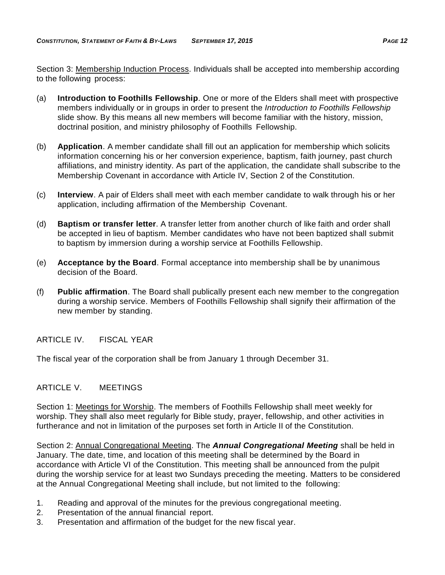Section 3: Membership Induction Process. Individuals shall be accepted into membership according to the following process:

- (a) **Introduction to Foothills Fellowship**. One or more of the Elders shall meet with prospective members individually or in groups in order to present the *Introduction to Foothills Fellowship*  slide show. By this means all new members will become familiar with the history, mission, doctrinal position, and ministry philosophy of Foothills Fellowship.
- (b) **Application**. A member candidate shall fill out an application for membership which solicits information concerning his or her conversion experience, baptism, faith journey, past church affiliations, and ministry identity. As part of the application, the candidate shall subscribe to the Membership Covenant in accordance with Article IV, Section 2 of the Constitution.
- (c) **Interview**. A pair of Elders shall meet with each member candidate to walk through his or her application, including affirmation of the Membership Covenant.
- (d) **Baptism or transfer letter**. A transfer letter from another church of like faith and order shall be accepted in lieu of baptism. Member candidates who have not been baptized shall submit to baptism by immersion during a worship service at Foothills Fellowship.
- (e) **Acceptance by the Board**. Formal acceptance into membership shall be by unanimous decision of the Board.
- (f) **Public affirmation**. The Board shall publically present each new member to the congregation during a worship service. Members of Foothills Fellowship shall signify their affirmation of the new member by standing.

<span id="page-15-0"></span>ARTICLE IV. FISCAL YEAR

The fiscal year of the corporation shall be from January 1 through December 31.

## <span id="page-15-1"></span>ARTICLE V. MEETINGS

Section 1: Meetings for Worship. The members of Foothills Fellowship shall meet weekly for worship. They shall also meet regularly for Bible study, prayer, fellowship, and other activities in furtherance and not in limitation of the purposes set forth in Article II of the Constitution.

Section 2: Annual Congregational Meeting. The *Annual Congregational Meeting* shall be held in January. The date, time, and location of this meeting shall be determined by the Board in accordance with Article VI of the Constitution. This meeting shall be announced from the pulpit during the worship service for at least two Sundays preceding the meeting. Matters to be considered at the Annual Congregational Meeting shall include, but not limited to the following:

- 1. Reading and approval of the minutes for the previous congregational meeting.
- 2. Presentation of the annual financial report.
- 3. Presentation and affirmation of the budget for the new fiscal year.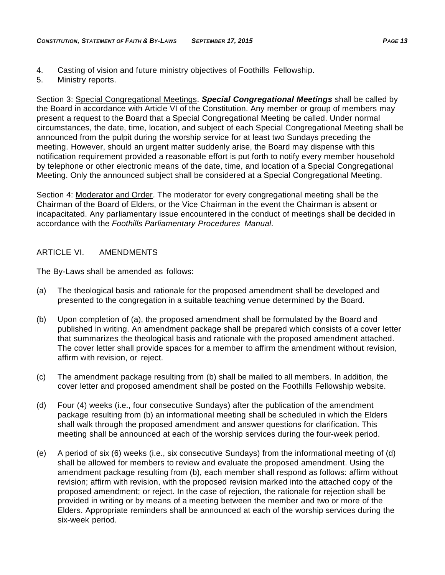- 4. Casting of vision and future ministry objectives of Foothills Fellowship.
- 5. Ministry reports.

Section 3: Special Congregational Meetings. *Special Congregational Meetings* shall be called by the Board in accordance with Article VI of the Constitution. Any member or group of members may present a request to the Board that a Special Congregational Meeting be called. Under normal circumstances, the date, time, location, and subject of each Special Congregational Meeting shall be announced from the pulpit during the worship service for at least two Sundays preceding the meeting. However, should an urgent matter suddenly arise, the Board may dispense with this notification requirement provided a reasonable effort is put forth to notify every member household by telephone or other electronic means of the date, time, and location of a Special Congregational Meeting. Only the announced subject shall be considered at a Special Congregational Meeting.

Section 4: Moderator and Order. The moderator for every congregational meeting shall be the Chairman of the Board of Elders, or the Vice Chairman in the event the Chairman is absent or incapacitated. Any parliamentary issue encountered in the conduct of meetings shall be decided in accordance with the *Foothills Parliamentary Procedures Manual*.

## <span id="page-16-0"></span>ARTICLE VI. AMENDMENTS

The By-Laws shall be amended as follows:

- (a) The theological basis and rationale for the proposed amendment shall be developed and presented to the congregation in a suitable teaching venue determined by the Board.
- (b) Upon completion of (a), the proposed amendment shall be formulated by the Board and published in writing. An amendment package shall be prepared which consists of a cover letter that summarizes the theological basis and rationale with the proposed amendment attached. The cover letter shall provide spaces for a member to affirm the amendment without revision, affirm with revision, or reject.
- (c) The amendment package resulting from (b) shall be mailed to all members. In addition, the cover letter and proposed amendment shall be posted on the Foothills Fellowship website.
- (d) Four (4) weeks (i.e., four consecutive Sundays) after the publication of the amendment package resulting from (b) an informational meeting shall be scheduled in which the Elders shall walk through the proposed amendment and answer questions for clarification. This meeting shall be announced at each of the worship services during the four-week period.
- (e) A period of six (6) weeks (i.e., six consecutive Sundays) from the informational meeting of (d) shall be allowed for members to review and evaluate the proposed amendment. Using the amendment package resulting from (b), each member shall respond as follows: affirm without revision; affirm with revision, with the proposed revision marked into the attached copy of the proposed amendment; or reject. In the case of rejection, the rationale for rejection shall be provided in writing or by means of a meeting between the member and two or more of the Elders. Appropriate reminders shall be announced at each of the worship services during the six-week period.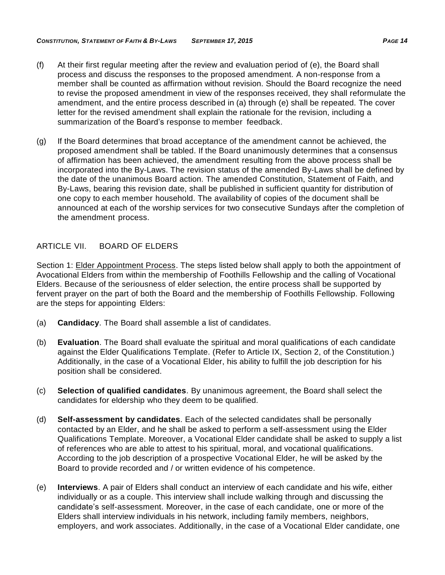- (f) At their first regular meeting after the review and evaluation period of (e), the Board shall process and discuss the responses to the proposed amendment. A non-response from a member shall be counted as affirmation without revision. Should the Board recognize the need to revise the proposed amendment in view of the responses received, they shall reformulate the amendment, and the entire process described in (a) through (e) shall be repeated. The cover letter for the revised amendment shall explain the rationale for the revision, including a summarization of the Board's response to member feedback.
- (g) If the Board determines that broad acceptance of the amendment cannot be achieved, the proposed amendment shall be tabled. If the Board unanimously determines that a consensus of affirmation has been achieved, the amendment resulting from the above process shall be incorporated into the By-Laws. The revision status of the amended By-Laws shall be defined by the date of the unanimous Board action. The amended Constitution, Statement of Faith, and By-Laws, bearing this revision date, shall be published in sufficient quantity for distribution of one copy to each member household. The availability of copies of the document shall be announced at each of the worship services for two consecutive Sundays after the completion of the amendment process.

## <span id="page-17-0"></span>ARTICLE VII. BOARD OF ELDERS

Section 1: Elder Appointment Process. The steps listed below shall apply to both the appointment of Avocational Elders from within the membership of Foothills Fellowship and the calling of Vocational Elders. Because of the seriousness of elder selection, the entire process shall be supported by fervent prayer on the part of both the Board and the membership of Foothills Fellowship. Following are the steps for appointing Elders:

- (a) **Candidacy**. The Board shall assemble a list of candidates.
- (b) **Evaluation**. The Board shall evaluate the spiritual and moral qualifications of each candidate against the Elder Qualifications Template. (Refer to Article IX, Section 2, of the Constitution.) Additionally, in the case of a Vocational Elder, his ability to fulfill the job description for his position shall be considered.
- (c) **Selection of qualified candidates**. By unanimous agreement, the Board shall select the candidates for eldership who they deem to be qualified.
- (d) **Self-assessment by candidates**. Each of the selected candidates shall be personally contacted by an Elder, and he shall be asked to perform a self-assessment using the Elder Qualifications Template. Moreover, a Vocational Elder candidate shall be asked to supply a list of references who are able to attest to his spiritual, moral, and vocational qualifications. According to the job description of a prospective Vocational Elder, he will be asked by the Board to provide recorded and / or written evidence of his competence.
- (e) **Interviews**. A pair of Elders shall conduct an interview of each candidate and his wife, either individually or as a couple. This interview shall include walking through and discussing the candidate's self-assessment. Moreover, in the case of each candidate, one or more of the Elders shall interview individuals in his network, including family members, neighbors, employers, and work associates. Additionally, in the case of a Vocational Elder candidate, one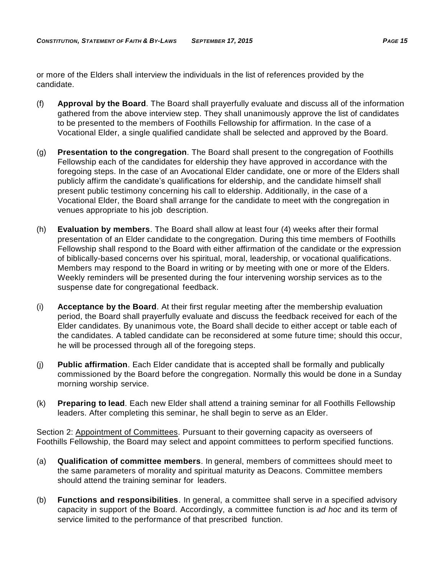or more of the Elders shall interview the individuals in the list of references provided by the candidate.

- (f) **Approval by the Board**. The Board shall prayerfully evaluate and discuss all of the information gathered from the above interview step. They shall unanimously approve the list of candidates to be presented to the members of Foothills Fellowship for affirmation. In the case of a Vocational Elder, a single qualified candidate shall be selected and approved by the Board.
- (g) **Presentation to the congregation**. The Board shall present to the congregation of Foothills Fellowship each of the candidates for eldership they have approved in accordance with the foregoing steps. In the case of an Avocational Elder candidate, one or more of the Elders shall publicly affirm the candidate's qualifications for eldership, and the candidate himself shall present public testimony concerning his call to eldership. Additionally, in the case of a Vocational Elder, the Board shall arrange for the candidate to meet with the congregation in venues appropriate to his job description.
- (h) **Evaluation by members**. The Board shall allow at least four (4) weeks after their formal presentation of an Elder candidate to the congregation. During this time members of Foothills Fellowship shall respond to the Board with either affirmation of the candidate or the expression of biblically-based concerns over his spiritual, moral, leadership, or vocational qualifications. Members may respond to the Board in writing or by meeting with one or more of the Elders. Weekly reminders will be presented during the four intervening worship services as to the suspense date for congregational feedback.
- (i) **Acceptance by the Board**. At their first regular meeting after the membership evaluation period, the Board shall prayerfully evaluate and discuss the feedback received for each of the Elder candidates. By unanimous vote, the Board shall decide to either accept or table each of the candidates. A tabled candidate can be reconsidered at some future time; should this occur, he will be processed through all of the foregoing steps.
- (j) **Public affirmation**. Each Elder candidate that is accepted shall be formally and publically commissioned by the Board before the congregation. Normally this would be done in a Sunday morning worship service.
- (k) **Preparing to lead**. Each new Elder shall attend a training seminar for all Foothills Fellowship leaders. After completing this seminar, he shall begin to serve as an Elder.

Section 2: Appointment of Committees. Pursuant to their governing capacity as overseers of Foothills Fellowship, the Board may select and appoint committees to perform specified functions.

- (a) **Qualification of committee members**. In general, members of committees should meet to the same parameters of morality and spiritual maturity as Deacons. Committee members should attend the training seminar for leaders.
- (b) **Functions and responsibilities**. In general, a committee shall serve in a specified advisory capacity in support of the Board. Accordingly, a committee function is *ad hoc* and its term of service limited to the performance of that prescribed function.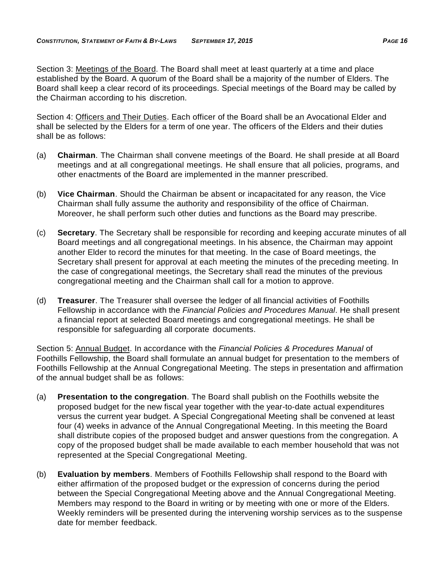Section 3: Meetings of the Board. The Board shall meet at least quarterly at a time and place established by the Board. A quorum of the Board shall be a majority of the number of Elders. The Board shall keep a clear record of its proceedings. Special meetings of the Board may be called by the Chairman according to his discretion.

Section 4: Officers and Their Duties. Each officer of the Board shall be an Avocational Elder and shall be selected by the Elders for a term of one year. The officers of the Elders and their duties shall be as follows:

- (a) **Chairman**. The Chairman shall convene meetings of the Board. He shall preside at all Board meetings and at all congregational meetings. He shall ensure that all policies, programs, and other enactments of the Board are implemented in the manner prescribed.
- (b) **Vice Chairman**. Should the Chairman be absent or incapacitated for any reason, the Vice Chairman shall fully assume the authority and responsibility of the office of Chairman. Moreover, he shall perform such other duties and functions as the Board may prescribe.
- (c) **Secretary**. The Secretary shall be responsible for recording and keeping accurate minutes of all Board meetings and all congregational meetings. In his absence, the Chairman may appoint another Elder to record the minutes for that meeting. In the case of Board meetings, the Secretary shall present for approval at each meeting the minutes of the preceding meeting. In the case of congregational meetings, the Secretary shall read the minutes of the previous congregational meeting and the Chairman shall call for a motion to approve.
- (d) **Treasurer**. The Treasurer shall oversee the ledger of all financial activities of Foothills Fellowship in accordance with the *Financial Policies and Procedures Manual*. He shall present a financial report at selected Board meetings and congregational meetings. He shall be responsible for safeguarding all corporate documents.

Section 5: Annual Budget. In accordance with the *Financial Policies & Procedures Manual* of Foothills Fellowship, the Board shall formulate an annual budget for presentation to the members of Foothills Fellowship at the Annual Congregational Meeting. The steps in presentation and affirmation of the annual budget shall be as follows:

- (a) **Presentation to the congregation**. The Board shall publish on the Foothills website the proposed budget for the new fiscal year together with the year-to-date actual expenditures versus the current year budget. A Special Congregational Meeting shall be convened at least four (4) weeks in advance of the Annual Congregational Meeting. In this meeting the Board shall distribute copies of the proposed budget and answer questions from the congregation. A copy of the proposed budget shall be made available to each member household that was not represented at the Special Congregational Meeting.
- (b) **Evaluation by members**. Members of Foothills Fellowship shall respond to the Board with either affirmation of the proposed budget or the expression of concerns during the period between the Special Congregational Meeting above and the Annual Congregational Meeting. Members may respond to the Board in writing or by meeting with one or more of the Elders. Weekly reminders will be presented during the intervening worship services as to the suspense date for member feedback.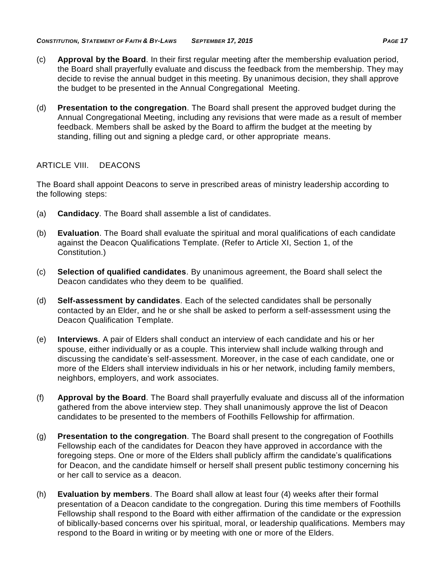- (c) **Approval by the Board**. In their first regular meeting after the membership evaluation period, the Board shall prayerfully evaluate and discuss the feedback from the membership. They may decide to revise the annual budget in this meeting. By unanimous decision, they shall approve the budget to be presented in the Annual Congregational Meeting.
- (d) **Presentation to the congregation**. The Board shall present the approved budget during the Annual Congregational Meeting, including any revisions that were made as a result of member feedback. Members shall be asked by the Board to affirm the budget at the meeting by standing, filling out and signing a pledge card, or other appropriate means.

## <span id="page-20-0"></span>ARTICLE VIII. DEACONS

The Board shall appoint Deacons to serve in prescribed areas of ministry leadership according to the following steps:

- (a) **Candidacy**. The Board shall assemble a list of candidates.
- (b) **Evaluation**. The Board shall evaluate the spiritual and moral qualifications of each candidate against the Deacon Qualifications Template. (Refer to Article XI, Section 1, of the Constitution.)
- (c) **Selection of qualified candidates**. By unanimous agreement, the Board shall select the Deacon candidates who they deem to be qualified.
- (d) **Self-assessment by candidates**. Each of the selected candidates shall be personally contacted by an Elder, and he or she shall be asked to perform a self-assessment using the Deacon Qualification Template.
- (e) **Interviews**. A pair of Elders shall conduct an interview of each candidate and his or her spouse, either individually or as a couple. This interview shall include walking through and discussing the candidate's self-assessment. Moreover, in the case of each candidate, one or more of the Elders shall interview individuals in his or her network, including family members, neighbors, employers, and work associates.
- (f) **Approval by the Board**. The Board shall prayerfully evaluate and discuss all of the information gathered from the above interview step. They shall unanimously approve the list of Deacon candidates to be presented to the members of Foothills Fellowship for affirmation.
- (g) **Presentation to the congregation**. The Board shall present to the congregation of Foothills Fellowship each of the candidates for Deacon they have approved in accordance with the foregoing steps. One or more of the Elders shall publicly affirm the candidate's qualifications for Deacon, and the candidate himself or herself shall present public testimony concerning his or her call to service as a deacon.
- (h) **Evaluation by members**. The Board shall allow at least four (4) weeks after their formal presentation of a Deacon candidate to the congregation. During this time members of Foothills Fellowship shall respond to the Board with either affirmation of the candidate or the expression of biblically-based concerns over his spiritual, moral, or leadership qualifications. Members may respond to the Board in writing or by meeting with one or more of the Elders.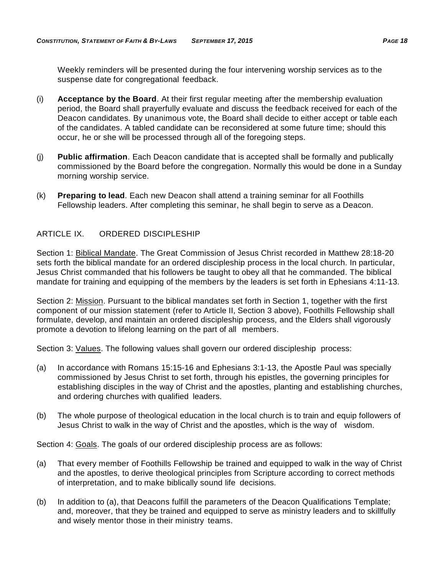Weekly reminders will be presented during the four intervening worship services as to the suspense date for congregational feedback.

- (i) **Acceptance by the Board**. At their first regular meeting after the membership evaluation period, the Board shall prayerfully evaluate and discuss the feedback received for each of the Deacon candidates. By unanimous vote, the Board shall decide to either accept or table each of the candidates. A tabled candidate can be reconsidered at some future time; should this occur, he or she will be processed through all of the foregoing steps.
- (j) **Public affirmation**. Each Deacon candidate that is accepted shall be formally and publically commissioned by the Board before the congregation. Normally this would be done in a Sunday morning worship service.
- (k) **Preparing to lead**. Each new Deacon shall attend a training seminar for all Foothills Fellowship leaders. After completing this seminar, he shall begin to serve as a Deacon.

## <span id="page-21-0"></span>ARTICLE IX. ORDERED DISCIPLESHIP

Section 1: Biblical Mandate. The Great Commission of Jesus Christ recorded in Matthew 28:18-20 sets forth the biblical mandate for an ordered discipleship process in the local church. In particular, Jesus Christ commanded that his followers be taught to obey all that he commanded. The biblical mandate for training and equipping of the members by the leaders is set forth in Ephesians 4:11-13.

Section 2: Mission. Pursuant to the biblical mandates set forth in Section 1, together with the first component of our mission statement (refer to Article II, Section 3 above), Foothills Fellowship shall formulate, develop, and maintain an ordered discipleship process, and the Elders shall vigorously promote a devotion to lifelong learning on the part of all members.

Section 3: Values. The following values shall govern our ordered discipleship process:

- (a) In accordance with Romans 15:15-16 and Ephesians 3:1-13, the Apostle Paul was specially commissioned by Jesus Christ to set forth, through his epistles, the governing principles for establishing disciples in the way of Christ and the apostles, planting and establishing churches, and ordering churches with qualified leaders.
- (b) The whole purpose of theological education in the local church is to train and equip followers of Jesus Christ to walk in the way of Christ and the apostles, which is the way of wisdom.

Section 4: Goals. The goals of our ordered discipleship process are as follows:

- (a) That every member of Foothills Fellowship be trained and equipped to walk in the way of Christ and the apostles, to derive theological principles from Scripture according to correct methods of interpretation, and to make biblically sound life decisions.
- (b) In addition to (a), that Deacons fulfill the parameters of the Deacon Qualifications Template; and, moreover, that they be trained and equipped to serve as ministry leaders and to skillfully and wisely mentor those in their ministry teams.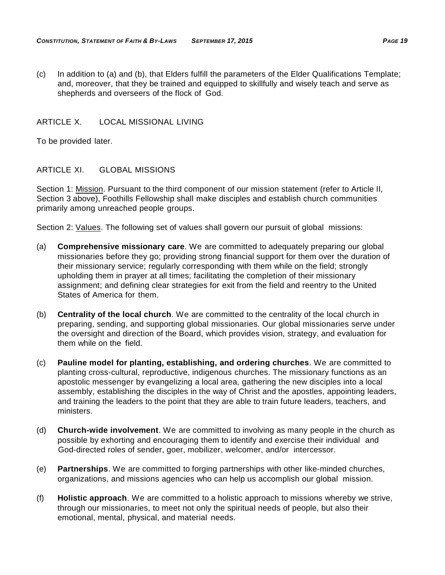(c) In addition to (a) and (b), that Elders fulfill the parameters of the Elder Qualifications Template; and, moreover, that they be trained and equipped to skillfully and wisely teach and serve as shepherds and overseers of the flock of God.

## <span id="page-22-0"></span>ARTICLE X. LOCAL MISSIONAL LIVING

To be provided later.

## <span id="page-22-1"></span>ARTICLE XI. GLOBAL MISSIONS

Section 1: Mission. Pursuant to the third component of our mission statement (refer to Article II, Section 3 above), Foothills Fellowship shall make disciples and establish church communities primarily among unreached people groups.

Section 2: Values. The following set of values shall govern our pursuit of global missions:

- (a) **Comprehensive missionary care**. We are committed to adequately preparing our global missionaries before they go; providing strong financial support for them over the duration of their missionary service; regularly corresponding with them while on the field; strongly upholding them in prayer at all times; facilitating the completion of their missionary assignment; and defining clear strategies for exit from the field and reentry to the United States of America for them.
- (b) **Centrality of the local church**. We are committed to the centrality of the local church in preparing, sending, and supporting global missionaries. Our global missionaries serve under the oversight and direction of the Board, which provides vision, strategy, and evaluation for them while on the field.
- (c) **Pauline model for planting, establishing, and ordering churches**. We are committed to planting cross-cultural, reproductive, indigenous churches. The missionary functions as an apostolic messenger by evangelizing a local area, gathering the new disciples into a local assembly, establishing the disciples in the way of Christ and the apostles, appointing leaders, and training the leaders to the point that they are able to train future leaders, teachers, and ministers.
- (d) **Church-wide involvement**. We are committed to involving as many people in the church as possible by exhorting and encouraging them to identify and exercise their individual and God-directed roles of sender, goer, mobilizer, welcomer, and/or intercessor.
- (e) **Partnerships**. We are committed to forging partnerships with other like-minded churches, organizations, and missions agencies who can help us accomplish our global mission.
- (f) **Holistic approach**. We are committed to a holistic approach to missions whereby we strive, through our missionaries, to meet not only the spiritual needs of people, but also their emotional, mental, physical, and material needs.